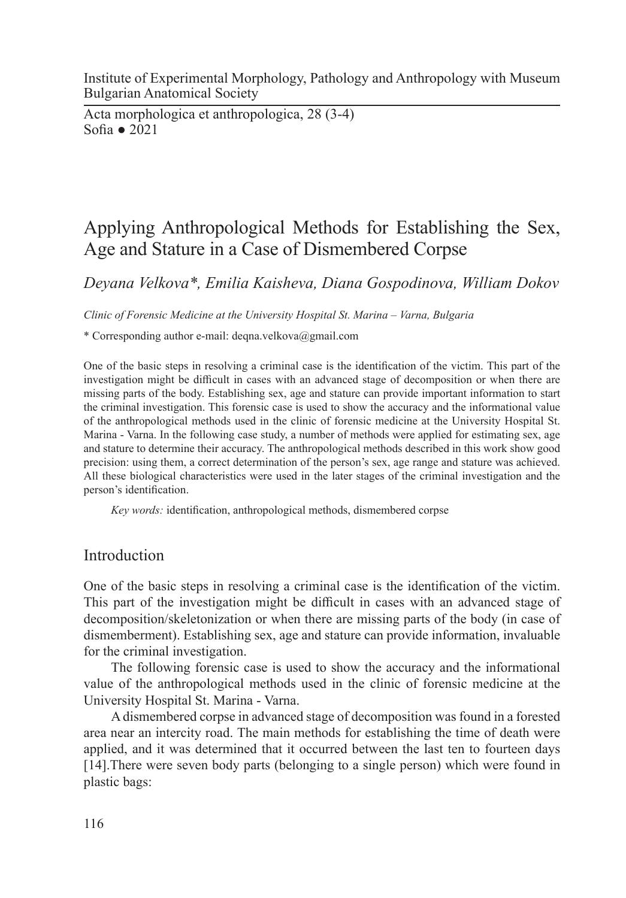Institute of Experimental Morphology, Pathology and Anthropology with Museum Bulgarian Anatomical Society

Acta morphologica et anthropologica, 28 (3-4) Sofia ● 2021

# Applying Anthropological Methods for Establishing the Sex, Age and Stature in a Case of Dismembered Corpse

*Deyana Velkova\*, Emilia Kaisheva, Diana Gospodinova, William Dokov*

*Clinic of Forensic Medicine at the University Hospital St. Marina – Varna, Bulgaria*

\* Corresponding author e-mail: deqna.velkova@gmail.com

One of the basic steps in resolving a criminal case is the identification of the victim. This part of the investigation might be difficult in cases with an advanced stage of decomposition or when there are missing parts of the body. Establishing sex, age and stature can provide important information to start the criminal investigation. This forensic case is used to show the accuracy and the informational value of the anthropological methods used in the clinic of forensic medicine at the University Hospital St. Marina - Varna. In the following case study, a number of methods were applied for estimating sex, age and stature to determine their accuracy. The anthropological methods described in this work show good precision: using them, a correct determination of the person's sex, age range and stature was achieved. All these biological characteristics were used in the later stages of the criminal investigation and the person's identification.

*Key words:* identification, anthropological methods, dismembered corpse

## **Introduction**

One of the basic steps in resolving a criminal case is the identification of the victim. This part of the investigation might be difficult in cases with an advanced stage of decomposition/skeletonization or when there are missing parts of the body (in case of dismemberment). Establishing sex, age and stature can provide information, invaluable for the criminal investigation.

The following forensic case is used to show the accuracy and the informational value of the anthropological methods used in the clinic of forensic medicine at the University Hospital St. Marina - Varna.

A dismembered corpse in advanced stage of decomposition was found in a forested area near an intercity road. The main methods for establishing the time of death were applied, and it was determined that it occurred between the last ten to fourteen days [14].There were seven body parts (belonging to a single person) which were found in plastic bags: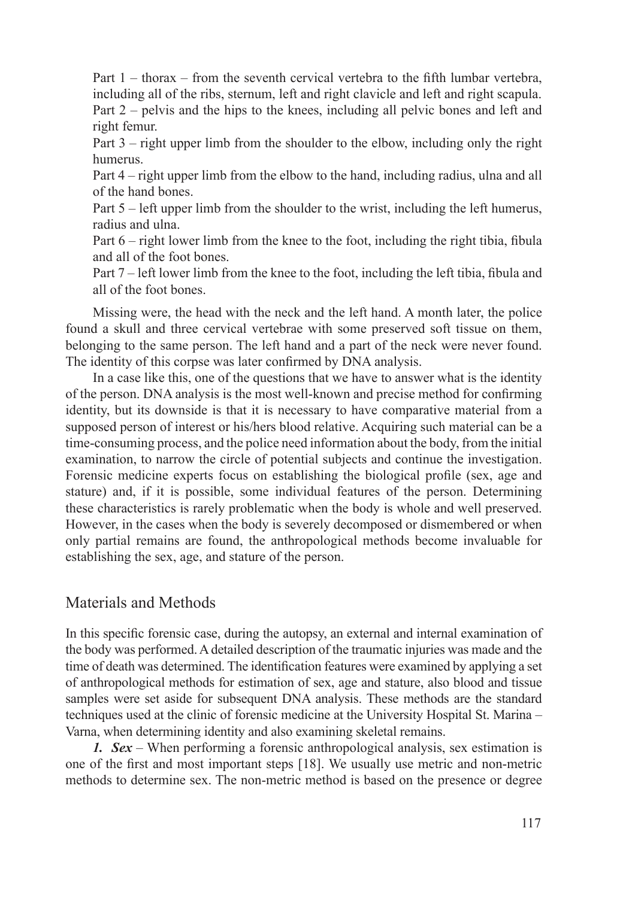Part 1 – thorax – from the seventh cervical vertebra to the fifth lumbar vertebra, including all of the ribs, sternum, left and right clavicle and left and right scapula. Part 2 – pelvis and the hips to the knees, including all pelvic bones and left and right femur.

Part 3 – right upper limb from the shoulder to the elbow, including only the right humerus.

Part 4 – right upper limb from the elbow to the hand, including radius, ulna and all of the hand bones.

Part 5 – left upper limb from the shoulder to the wrist, including the left humerus, radius and ulna.

Part 6 – right lower limb from the knee to the foot, including the right tibia, fibula and all of the foot bones.

Part 7 – left lower limb from the knee to the foot, including the left tibia, fibula and all of the foot bones.

Missing were, the head with the neck and the left hand. A month later, the police found a skull and three cervical vertebrae with some preserved soft tissue on them, belonging to the same person. The left hand and a part of the neck were never found. The identity of this corpse was later confirmed by DNA analysis.

In a case like this, one of the questions that we have to answer what is the identity of the person. DNA analysis is the most well-known and precise method for confirming identity, but its downside is that it is necessary to have comparative material from a supposed person of interest or his/hers blood relative. Acquiring such material can be a time-consuming process, and the police need information about the body, from the initial examination, to narrow the circle of potential subjects and continue the investigation. Forensic medicine experts focus on establishing the biological profile (sex, age and stature) and, if it is possible, some individual features of the person. Determining these characteristics is rarely problematic when the body is whole and well preserved. However, in the cases when the body is severely decomposed or dismembered or when only partial remains are found, the anthropological methods become invaluable for establishing the sex, age, and stature of the person.

### Materials and Methods

In this specific forensic case, during the autopsy, an external and internal examination of the body was performed. A detailed description of the traumatic injuries was made and the time of death was determined. The identification features were examined by applying a set of anthropological methods for estimation of sex, age and stature, also blood and tissue samples were set aside for subsequent DNA analysis. These methods are the standard techniques used at the clinic of forensic medicine at the University Hospital St. Marina – Varna, when determining identity and also examining skeletal remains.

*1. Sex* – When performing a forensic anthropological analysis, sex estimation is one of the first and most important steps [18]. We usually use metric and non-metric methods to determine sex. The non-metric method is based on the presence or degree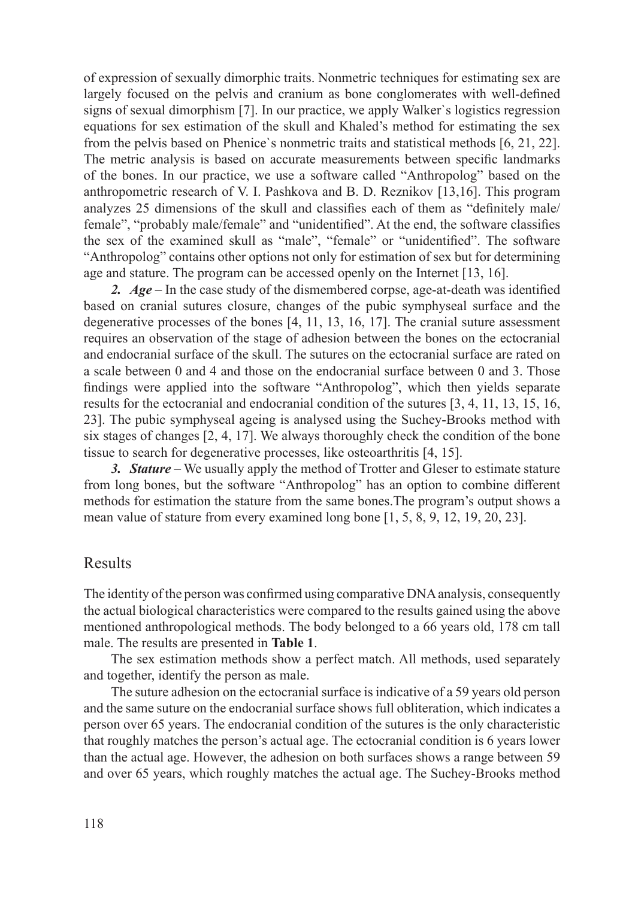of expression of sexually dimorphic traits. Nonmetric techniques for estimating sex are largely focused on the pelvis and cranium as bone conglomerates with well-defined signs of sexual dimorphism [7]. In our practice, we apply Walker`s logistics regression equations for sex estimation of the skull and Khaled's method for estimating the sex from the pelvis based on Phenice`s nonmetric traits and statistical methods [6, 21, 22]. The metric analysis is based on accurate measurements between specific landmarks of the bones. In our practice, we use a software called "Anthropolog" based on the anthropometric research of V. I. Pashkova and B. D. Reznikov [13,16]. This program analyzes 25 dimensions of the skull and classifies each of them as "definitely male/ female", "probably male/female" and "unidentified". At the end, the software classifies the sex of the examined skull as "male", "female" or "unidentified". The software "Anthropolog" contains other options not only for estimation of sex but for determining age and stature. The program can be accessed openly on the Internet [13, 16].

*2. Age* – In the case study of the dismembered corpse, age-at-death was identified based on cranial sutures closure, changes of the pubic symphyseal surface and the degenerative processes of the bones [4, 11, 13, 16, 17]. Тhe cranial suture assessment requires an observation of the stage of adhesion between the bones on the ectocranial and endocranial surface of the skull. The sutures on the ectocranial surface are rated on a scale between 0 and 4 and those on the endocranial surface between 0 and 3. Those findings were applied into the software "Anthropolog", which then yields separate results for the ectocranial and endocranial condition of the sutures [3, 4, 11, 13, 15, 16, 23]. The pubic symphyseal ageing is analysed using the Suchey-Brooks method with six stages of changes [2, 4, 17]. We always thoroughly check the condition of the bone tissue to search for degenerative processes, like osteoarthritis [4, 15].

*3. Stature* – We usually apply the method of Trotter and Gleser to estimate stature from long bones, but the software "Anthropolog" has an option to combine different methods for estimation the stature from the same bones.Тhe program's output shows a mean value of stature from every examined long bone [1, 5, 8, 9, 12, 19, 20, 23].

#### Results

The identity of the person was confirmed using comparative DNA analysis, consequently the actual biological characteristics were compared to the results gained using the above mentioned anthropological methods. The body belonged to a 66 years old, 178 cm tall male. The results are presented in **Table 1**.

The sex estimation methods show a perfect match. All methods, used separately and together, identify the person as male.

The suture adhesion on the ectocranial surface is indicative of a 59 years old person and the same suture on the endocranial surface shows full obliteration, which indicates a person over 65 years. The endocranial condition of the sutures is the only characteristic that roughly matches the person's actual age. The ectocranial condition is 6 years lower than the actual age. However, the adhesion on both surfaces shows a range between 59 and over 65 years, which roughly matches the actual age. The Suchey-Brooks method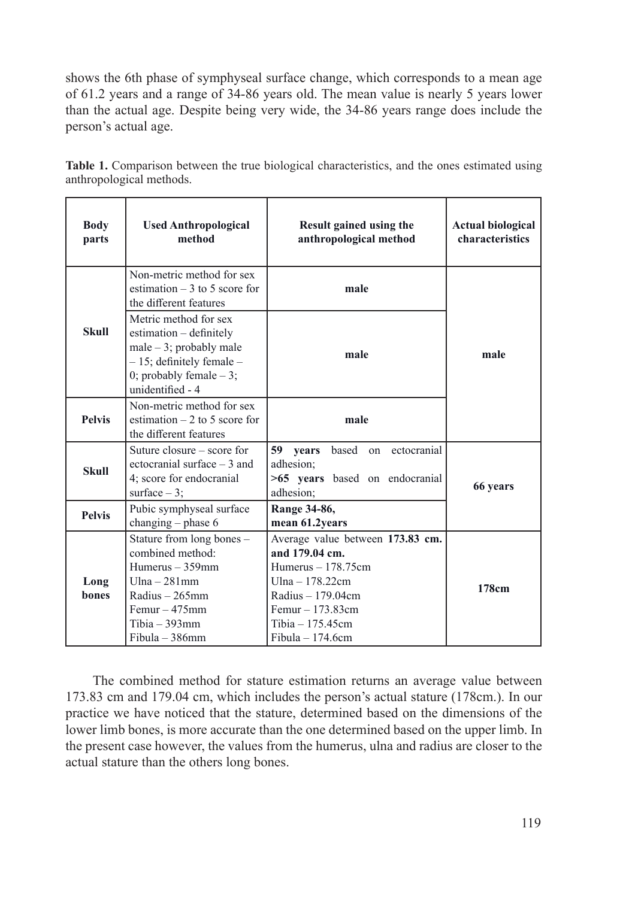shows the 6th phase of symphyseal surface change, which corresponds to a mean age of 61.2 years and a range of 34-86 years old. The mean value is nearly 5 years lower than the actual age. Despite being very wide, the 34-86 years range does include the person's actual age.

| Table 1. Comparison between the true biological characteristics, and the ones estimated using |  |  |  |  |
|-----------------------------------------------------------------------------------------------|--|--|--|--|
| anthropological methods.                                                                      |  |  |  |  |

| <b>Body</b><br>parts                                                                  | <b>Used Anthropological</b><br>method                                                                                                                           | Result gained using the<br>anthropological method                                                                                                                                    | <b>Actual biological</b><br>characteristics |  |
|---------------------------------------------------------------------------------------|-----------------------------------------------------------------------------------------------------------------------------------------------------------------|--------------------------------------------------------------------------------------------------------------------------------------------------------------------------------------|---------------------------------------------|--|
| Non-metric method for sex<br>estimation $-3$ to 5 score for<br>the different features |                                                                                                                                                                 | male                                                                                                                                                                                 |                                             |  |
| <b>Skull</b>                                                                          | Metric method for sex<br>estimation - definitely<br>male $-3$ ; probably male<br>$-15$ ; definitely female $-$<br>0; probably female $-3$ ;<br>unidentified - 4 | male                                                                                                                                                                                 | male                                        |  |
| <b>Pelvis</b>                                                                         | Non-metric method for sex<br>estimation $-2$ to 5 score for<br>the different features                                                                           | male                                                                                                                                                                                 |                                             |  |
| <b>Skull</b>                                                                          | Suture closure – score for<br>ectocranial surface $-3$ and<br>4; score for endocranial<br>surface $-3$ ;                                                        | 59 years<br>based on<br>ectocranial<br>adhesion:<br>>65 years based on endocranial<br>adhesion;                                                                                      | 66 years                                    |  |
| <b>Pelvis</b>                                                                         | Pubic symphyseal surface<br>changing - phase 6                                                                                                                  | Range 34-86,<br>mean 61.2years                                                                                                                                                       |                                             |  |
| Long<br><b>bones</b>                                                                  | Stature from long bones -<br>combined method:<br>Humerus - 359mm<br>$Ulna - 281$ mm<br>Radius $-265$ mm<br>$Femur - 475mm$<br>$Tibia - 393mm$<br>Fibula - 386mm | Average value between 173.83 cm.<br>and 179.04 cm.<br>Humerus - 178.75cm<br>Ulna $-178.22$ cm<br>Radius $-179.04$ cm<br>$Femur - 173.83cm$<br>Tibia $-175.45cm$<br>Fibula $-174.6cm$ | 178cm                                       |  |

The combined method for stature estimation returns an average value between 173.83 cm and 179.04 cm, which includes the person's actual stature (178cm.). In our practice we have noticed that the stature, determined based on the dimensions of the lower limb bones, is more accurate than the one determined based on the upper limb. In the present case however, the values from the humerus, ulna and radius are closer to the actual stature than the others long bones.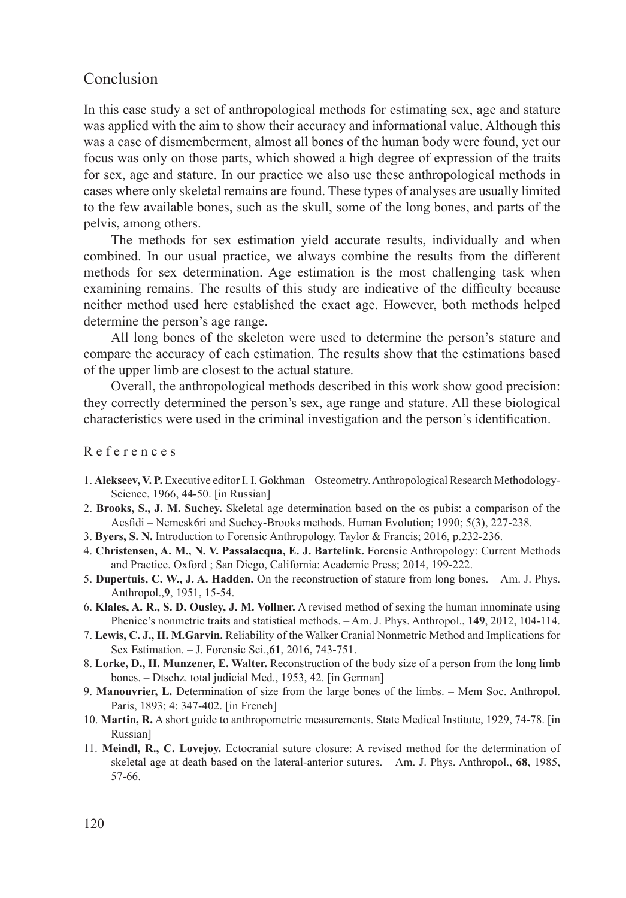### Conclusion

In this case study a set of anthropological methods for estimating sex, age and stature was applied with the aim to show their accuracy and informational value. Although this was a case of dismemberment, almost all bones of the human body were found, yet our focus was only on those parts, which showed a high degree of expression of the traits for sex, age and stature. In our practice we also use these anthropological methods in cases where only skeletal remains are found. These types of analyses are usually limited to the few available bones, such as the skull, some of the long bones, and parts of the pelvis, among others.

The methods for sex estimation yield accurate results, individually and when combined. In our usual practice, we always combine the results from the different methods for sex determination. Age estimation is the most challenging task when examining remains. The results of this study are indicative of the difficulty because neither method used here established the exact age. However, both methods helped determine the person's age range.

All long bones of the skeleton were used to determine the person's stature and compare the accuracy of each estimation. The results show that the estimations based of the upper limb are closest to the actual stature.

Overall, the anthropological methods described in this work show good precision: they correctly determined the person's sex, age range and stature. All these biological characteristics were used in the criminal investigation and the person's identification.

R e f e r e n c e s

- 1. **Alekseev, V. P.** Executive editor I. I. Gokhman Osteometry. Anthropological Research Methodology-Science, 1966, 44-50. [in Russian]
- 2. **Brooks, S., J. M. Suchey.** Skeletal age determination based on the os pubis: a comparison of the Acsfidi – Nemesk6ri and Suchey-Brooks methods. Human Evolution; 1990; 5(3), 227-238.
- 3. **Byers, S. N.** Introduction to Forensic Anthropology. Taylor & Francis; 2016, p.232-236.
- 4. **Christensen, A. M., N. V. Passalacqua, E. J. Bartelink.** Forensic Anthropology: Current Methods and Practice. Oxford ; San Diego, California: Academic Press; 2014, 199-222.
- 5. **Dupertuis, C. W., J. A. Hadden.** On the reconstruction of stature from long bones. Am. J. Phys. Anthropol.,**9**, 1951, 15-54.
- 6. **Klales, A. R., S. D. Ousley, J. M. Vollner.** A revised method of sexing the human innominate using Phenice's nonmetric traits and statistical methods. – Am. J. Phys. Anthropol., **149**, 2012, 104-114.
- 7. **Lewis, C. J., H. M.Garvin.** Reliability of the Walker Cranial Nonmetric Method and Implications for Sex Estimation. – J. Forensic Sci.,**61**, 2016, 743-751.
- 8. **Lorke, D., H. Munzener, E. Walter.** Reconstruction of the body size of a person from the long limb bones. – Dtschz. total judicial Med., 1953, 42. [in German]
- 9. **Manouvrier, L.** Determination of size from the large bones of the limbs. Mem Soc. Anthropol. Paris, 1893; 4: 347-402. [in French]
- 10. **Martin, R.** A short guide to anthropometric measurements. State Medical Institute, 1929, 74-78. [in Russian]
- 11. **Meindl, R., C. Lovejoy.** Ectocranial suture closure: A revised method for the determination of skeletal age at death based on the lateral-anterior sutures. – Am. J. Phys. Anthropol., **68**, 1985, 57-66.